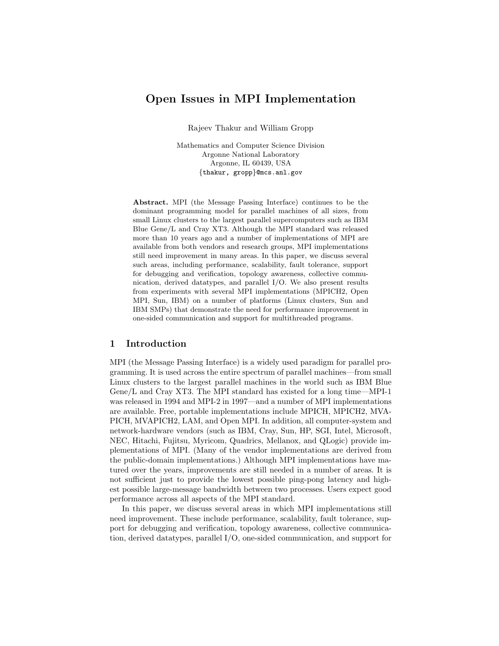# Open Issues in MPI Implementation

Rajeev Thakur and William Gropp

Mathematics and Computer Science Division Argonne National Laboratory Argonne, IL 60439, USA *{*thakur, gropp*}*@mcs.anl.gov

Abstract. MPI (the Message Passing Interface) continues to be the dominant programming model for parallel machines of all sizes, from small Linux clusters to the largest parallel supercomputers such as IBM Blue Gene/L and Cray XT3. Although the MPI standard was released more than 10 years ago and a number of implementations of MPI are available from both vendors and research groups, MPI implementations still need improvement in many areas. In this paper, we discuss several such areas, including performance, scalability, fault tolerance, support for debugging and verification, topology awareness, collective communication, derived datatypes, and parallel I/O. We also present results from experiments with several MPI implementations (MPICH2, Open MPI, Sun, IBM) on a number of platforms (Linux clusters, Sun and IBM SMPs) that demonstrate the need for performance improvement in one-sided communication and support for multithreaded programs.

### 1 Introduction

MPI (the Message Passing Interface) is a widely used paradigm for parallel programming. It is used across the entire spectrum of parallel machines—from small Linux clusters to the largest parallel machines in the world such as IBM Blue Gene/L and Cray XT3. The MPI standard has existed for a long time—MPI-1 was released in 1994 and MPI-2 in 1997—and a number of MPI implementations are available. Free, portable implementations include MPICH, MPICH2, MVA-PICH, MVAPICH2, LAM, and Open MPI. In addition, all computer-system and network-hardware vendors (such as IBM, Cray, Sun, HP, SGI, Intel, Microsoft, NEC, Hitachi, Fujitsu, Myricom, Quadrics, Mellanox, and QLogic) provide implementations of MPI. (Many of the vendor implementations are derived from the public-domain implementations.) Although MPI implementations have matured over the years, improvements are still needed in a number of areas. It is not sufficient just to provide the lowest possible ping-pong latency and highest possible large-message bandwidth between two processes. Users expect good performance across all aspects of the MPI standard.

In this paper, we discuss several areas in which MPI implementations still need improvement. These include performance, scalability, fault tolerance, support for debugging and verification, topology awareness, collective communication, derived datatypes, parallel I/O, one-sided communication, and support for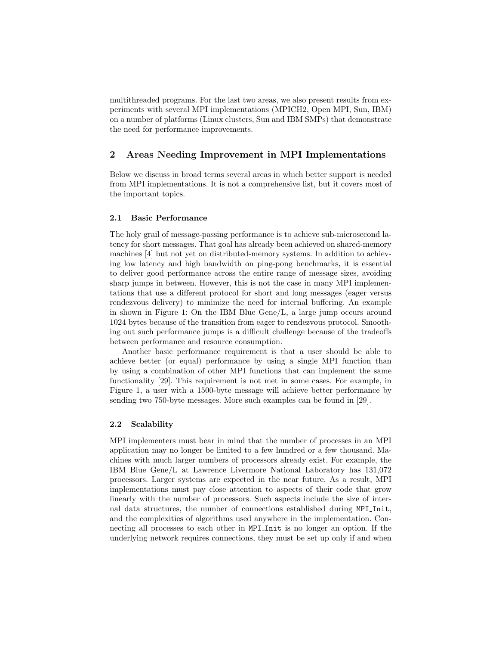multithreaded programs. For the last two areas, we also present results from experiments with several MPI implementations (MPICH2, Open MPI, Sun, IBM) on a number of platforms (Linux clusters, Sun and IBM SMPs) that demonstrate the need for performance improvements.

# 2 Areas Needing Improvement in MPI Implementations

Below we discuss in broad terms several areas in which better support is needed from MPI implementations. It is not a comprehensive list, but it covers most of the important topics.

#### 2.1 Basic Performance

The holy grail of message-passing performance is to achieve sub-microsecond latency for short messages. That goal has already been achieved on shared-memory machines [4] but not yet on distributed-memory systems. In addition to achieving low latency and high bandwidth on ping-pong benchmarks, it is essential to deliver good performance across the entire range of message sizes, avoiding sharp jumps in between. However, this is not the case in many MPI implementations that use a different protocol for short and long messages (eager versus rendezvous delivery) to minimize the need for internal buffering. An example in shown in Figure 1: On the IBM Blue Gene/L, a large jump occurs around 1024 bytes because of the transition from eager to rendezvous protocol. Smoothing out such performance jumps is a difficult challenge because of the tradeoffs between performance and resource consumption.

Another basic performance requirement is that a user should be able to achieve better (or equal) performance by using a single MPI function than by using a combination of other MPI functions that can implement the same functionality [29]. This requirement is not met in some cases. For example, in Figure 1, a user with a 1500-byte message will achieve better performance by sending two 750-byte messages. More such examples can be found in [29].

### 2.2 Scalability

MPI implementers must bear in mind that the number of processes in an MPI application may no longer be limited to a few hundred or a few thousand. Machines with much larger numbers of processors already exist. For example, the IBM Blue Gene/L at Lawrence Livermore National Laboratory has 131,072 processors. Larger systems are expected in the near future. As a result, MPI implementations must pay close attention to aspects of their code that grow linearly with the number of processors. Such aspects include the size of internal data structures, the number of connections established during MPI Init, and the complexities of algorithms used anywhere in the implementation. Connecting all processes to each other in MPI Init is no longer an option. If the underlying network requires connections, they must be set up only if and when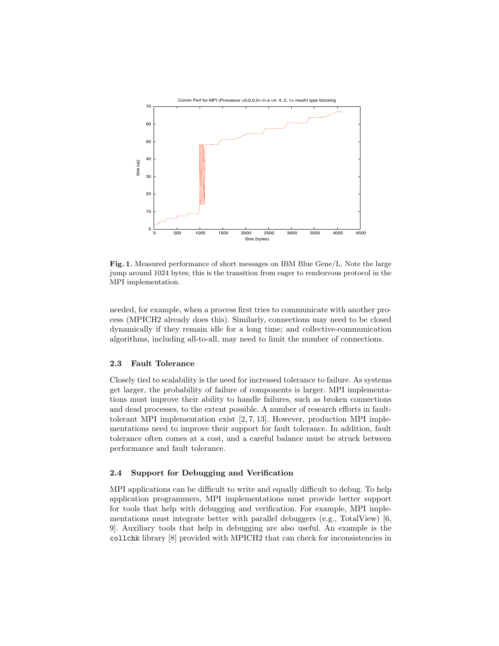

Fig. 1. Measured performance of short messages on IBM Blue Gene/L. Note the large jump around 1024 bytes; this is the transition from eager to rendezvous protocol in the MPI implementation.

needed, for example, when a process first tries to communicate with another process (MPICH2 already does this). Similarly, connections may need to be closed dynamically if they remain idle for a long time; and collective-communication algorithms, including all-to-all, may need to limit the number of connections.

### 2.3 Fault Tolerance

Closely tied to scalability is the need for increased tolerance to failure. As systems get larger, the probability of failure of components is larger. MPI implementations must improve their ability to handle failures, such as broken connections and dead processes, to the extent possible. A number of research efforts in faulttolerant MPI implementation exist [2, 7, 13]. However, production MPI implementations need to improve their support for fault tolerance. In addition, fault tolerance often comes at a cost, and a careful balance must be struck between performance and fault tolerance.

### 2.4 Support for Debugging and Verification

MPI applications can be difficult to write and equally difficult to debug. To help application programmers, MPI implementations must provide better support for tools that help with debugging and verification. For example, MPI implementations must integrate better with parallel debuggers (e.g., TotalView) [6, 9]. Auxiliary tools that help in debugging are also useful. An example is the collchk library [8] provided with MPICH2 that can check for inconsistencies in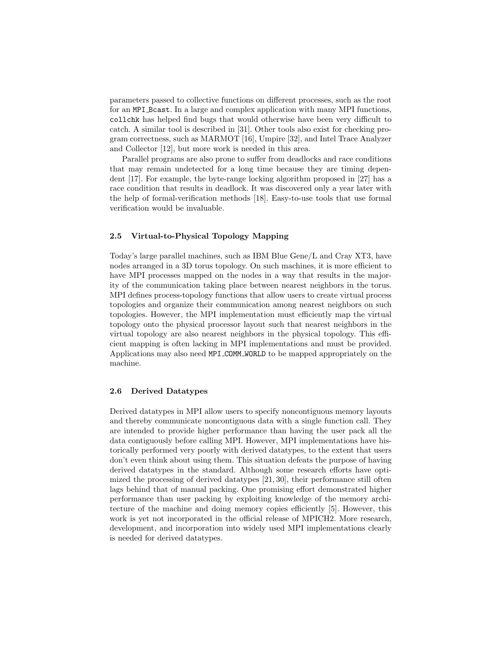parameters passed to collective functions on different processes, such as the root for an MPI Bcast. In a large and complex application with many MPI functions, collchk has helped find bugs that would otherwise have been very difficult to catch. A similar tool is described in [31]. Other tools also exist for checking program correctness, such as MARMOT [16], Umpire [32], and Intel Trace Analyzer and Collector [12], but more work is needed in this area.

Parallel programs are also prone to suffer from deadlocks and race conditions that may remain undetected for a long time because they are timing dependent [17]. For example, the byte-range locking algorithm proposed in [27] has a race condition that results in deadlock. It was discovered only a year later with the help of formal-verification methods [18]. Easy-to-use tools that use formal verification would be invaluable.

#### 2.5 Virtual-to-Physical Topology Mapping

Today's large parallel machines, such as IBM Blue Gene/L and Cray XT3, have nodes arranged in a 3D torus topology. On such machines, it is more efficient to have MPI processes mapped on the nodes in a way that results in the majority of the communication taking place between nearest neighbors in the torus. MPI defines process-topology functions that allow users to create virtual process topologies and organize their communication among nearest neighbors on such topologies. However, the MPI implementation must efficiently map the virtual topology onto the physical processor layout such that nearest neighbors in the virtual topology are also nearest neighbors in the physical topology. This efficient mapping is often lacking in MPI implementations and must be provided. Applications may also need MPI COMM WORLD to be mapped appropriately on the machine.

#### 2.6 Derived Datatypes

Derived datatypes in MPI allow users to specify noncontiguous memory layouts and thereby communicate noncontiguous data with a single function call. They are intended to provide higher performance than having the user pack all the data contiguously before calling MPI. However, MPI implementations have historically performed very poorly with derived datatypes, to the extent that users don't even think about using them. This situation defeats the purpose of having derived datatypes in the standard. Although some research efforts have optimized the processing of derived datatypes [21, 30], their performance still often lags behind that of manual packing. One promising effort demonstrated higher performance than user packing by exploiting knowledge of the memory architecture of the machine and doing memory copies efficiently [5]. However, this work is yet not incorporated in the official release of MPICH2. More research, development, and incorporation into widely used MPI implementations clearly is needed for derived datatypes.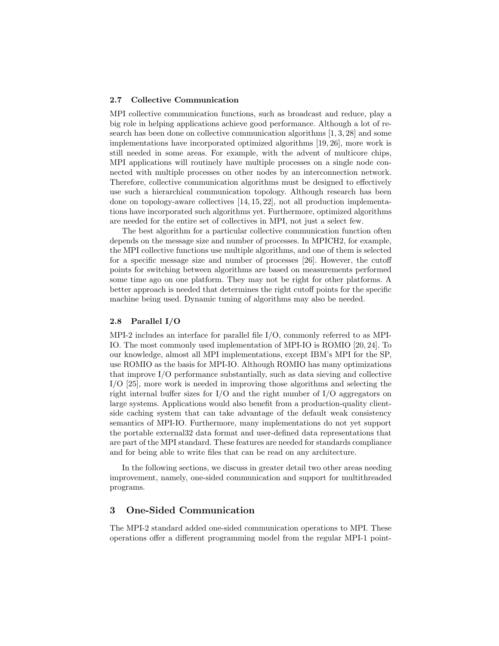#### 2.7 Collective Communication

MPI collective communication functions, such as broadcast and reduce, play a big role in helping applications achieve good performance. Although a lot of research has been done on collective communication algorithms [1, 3, 28] and some implementations have incorporated optimized algorithms [19, 26], more work is still needed in some areas. For example, with the advent of multicore chips, MPI applications will routinely have multiple processes on a single node connected with multiple processes on other nodes by an interconnection network. Therefore, collective communication algorithms must be designed to effectively use such a hierarchical communication topology. Although research has been done on topology-aware collectives [14, 15, 22], not all production implementations have incorporated such algorithms yet. Furthermore, optimized algorithms are needed for the entire set of collectives in MPI, not just a select few.

The best algorithm for a particular collective communication function often depends on the message size and number of processes. In MPICH2, for example, the MPI collective functions use multiple algorithms, and one of them is selected for a specific message size and number of processes [26]. However, the cutoff points for switching between algorithms are based on measurements performed some time ago on one platform. They may not be right for other platforms. A better approach is needed that determines the right cutoff points for the specific machine being used. Dynamic tuning of algorithms may also be needed.

### 2.8 Parallel I/O

MPI-2 includes an interface for parallel file I/O, commonly referred to as MPI-IO. The most commonly used implementation of MPI-IO is ROMIO [20, 24]. To our knowledge, almost all MPI implementations, except IBM's MPI for the SP, use ROMIO as the basis for MPI-IO. Although ROMIO has many optimizations that improve I/O performance substantially, such as data sieving and collective I/O [25], more work is needed in improving those algorithms and selecting the right internal buffer sizes for I/O and the right number of I/O aggregators on large systems. Applications would also benefit from a production-quality clientside caching system that can take advantage of the default weak consistency semantics of MPI-IO. Furthermore, many implementations do not yet support the portable external32 data format and user-defined data representations that are part of the MPI standard. These features are needed for standards compliance and for being able to write files that can be read on any architecture.

In the following sections, we discuss in greater detail two other areas needing improvement, namely, one-sided communication and support for multithreaded programs.

# 3 One-Sided Communication

The MPI-2 standard added one-sided communication operations to MPI. These operations offer a different programming model from the regular MPI-1 point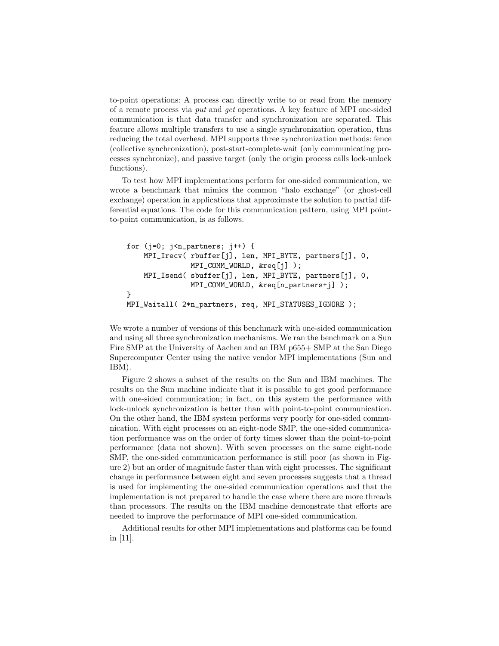to-point operations: A process can directly write to or read from the memory of a remote process via *put* and *get* operations. A key feature of MPI one-sided communication is that data transfer and synchronization are separated. This feature allows multiple transfers to use a single synchronization operation, thus reducing the total overhead. MPI supports three synchronization methods: fence (collective synchronization), post-start-complete-wait (only communicating processes synchronize), and passive target (only the origin process calls lock-unlock functions).

To test how MPI implementations perform for one-sided communication, we wrote a benchmark that mimics the common "halo exchange" (or ghost-cell exchange) operation in applications that approximate the solution to partial differential equations. The code for this communication pattern, using MPI pointto-point communication, is as follows.

```
for (j=0; j\leq n_{partners}; j++) {
    MPI_Irecv( rbuffer[j], len, MPI_BYTE, partners[j], 0,
               MPI_COMM_WORLD, &req[j] );
    MPI_Isend( sbuffer[j], len, MPI_BYTE, partners[j], 0,
               MPI_COMM_WORLD, &req[n_partners+j] );
}
MPI_Waitall( 2*n_partners, req, MPI_STATUSES_IGNORE );
```
We wrote a number of versions of this benchmark with one-sided communication and using all three synchronization mechanisms. We ran the benchmark on a Sun Fire SMP at the University of Aachen and an IBM p655+ SMP at the San Diego Supercomputer Center using the native vendor MPI implementations (Sun and IBM).

Figure 2 shows a subset of the results on the Sun and IBM machines. The results on the Sun machine indicate that it is possible to get good performance with one-sided communication; in fact, on this system the performance with lock-unlock synchronization is better than with point-to-point communication. On the other hand, the IBM system performs very poorly for one-sided communication. With eight processes on an eight-node SMP, the one-sided communication performance was on the order of forty times slower than the point-to-point performance (data not shown). With seven processes on the same eight-node SMP, the one-sided communication performance is still poor (as shown in Figure 2) but an order of magnitude faster than with eight processes. The significant change in performance between eight and seven processes suggests that a thread is used for implementing the one-sided communication operations and that the implementation is not prepared to handle the case where there are more threads than processors. The results on the IBM machine demonstrate that efforts are needed to improve the performance of MPI one-sided communication.

Additional results for other MPI implementations and platforms can be found in [11].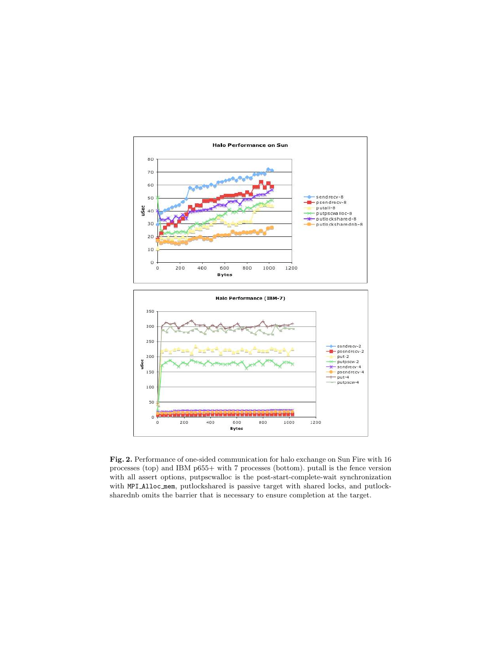



Fig. 2. Performance of one-sided communication for halo exchange on Sun Fire with 16 processes (top) and IBM p655+ with 7 processes (bottom). putall is the fence version with all assert options, putpscwalloc is the post-start-complete-wait synchronization with MPI Alloc mem, putlockshared is passive target with shared locks, and putlocksharednb omits the barrier that is necessary to ensure completion at the target.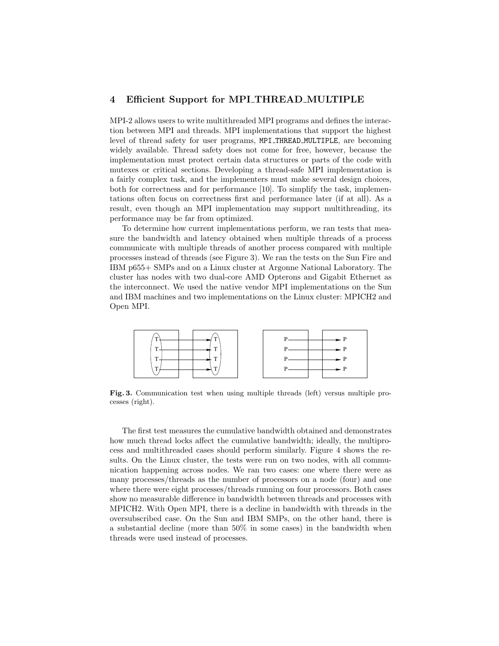# 4 Efficient Support for MPI THREAD MULTIPLE

MPI-2 allows users to write multithreaded MPI programs and defines the interaction between MPI and threads. MPI implementations that support the highest level of thread safety for user programs, MPI THREAD MULTIPLE, are becoming widely available. Thread safety does not come for free, however, because the implementation must protect certain data structures or parts of the code with mutexes or critical sections. Developing a thread-safe MPI implementation is a fairly complex task, and the implementers must make several design choices, both for correctness and for performance [10]. To simplify the task, implementations often focus on correctness first and performance later (if at all). As a result, even though an MPI implementation may support multithreading, its performance may be far from optimized.

To determine how current implementations perform, we ran tests that measure the bandwidth and latency obtained when multiple threads of a process communicate with multiple threads of another process compared with multiple processes instead of threads (see Figure 3). We ran the tests on the Sun Fire and IBM p655+ SMPs and on a Linux cluster at Argonne National Laboratory. The cluster has nodes with two dual-core AMD Opterons and Gigabit Ethernet as the interconnect. We used the native vendor MPI implementations on the Sun and IBM machines and two implementations on the Linux cluster: MPICH2 and Open MPI.



Fig. 3. Communication test when using multiple threads (left) versus multiple processes (right).

The first test measures the cumulative bandwidth obtained and demonstrates how much thread locks affect the cumulative bandwidth; ideally, the multiprocess and multithreaded cases should perform similarly. Figure 4 shows the results. On the Linux cluster, the tests were run on two nodes, with all communication happening across nodes. We ran two cases: one where there were as many processes/threads as the number of processors on a node (four) and one where there were eight processes/threads running on four processors. Both cases show no measurable difference in bandwidth between threads and processes with MPICH2. With Open MPI, there is a decline in bandwidth with threads in the oversubscribed case. On the Sun and IBM SMPs, on the other hand, there is a substantial decline (more than 50% in some cases) in the bandwidth when threads were used instead of processes.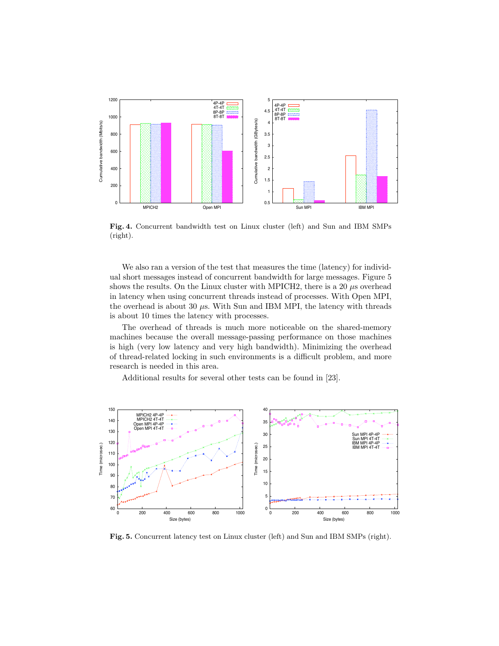

Fig. 4. Concurrent bandwidth test on Linux cluster (left) and Sun and IBM SMPs (right).

We also ran a version of the test that measures the time (latency) for individual short messages instead of concurrent bandwidth for large messages. Figure 5 shows the results. On the Linux cluster with MPICH2, there is a 20  $\mu$ s overhead in latency when using concurrent threads instead of processes. With Open MPI, the overhead is about  $30 \mu s$ . With Sun and IBM MPI, the latency with threads is about 10 times the latency with processes.

The overhead of threads is much more noticeable on the shared-memory machines because the overall message-passing performance on those machines is high (very low latency and very high bandwidth). Minimizing the overhead of thread-related locking in such environments is a difficult problem, and more research is needed in this area.

Additional results for several other tests can be found in [23].



Fig. 5. Concurrent latency test on Linux cluster (left) and Sun and IBM SMPs (right).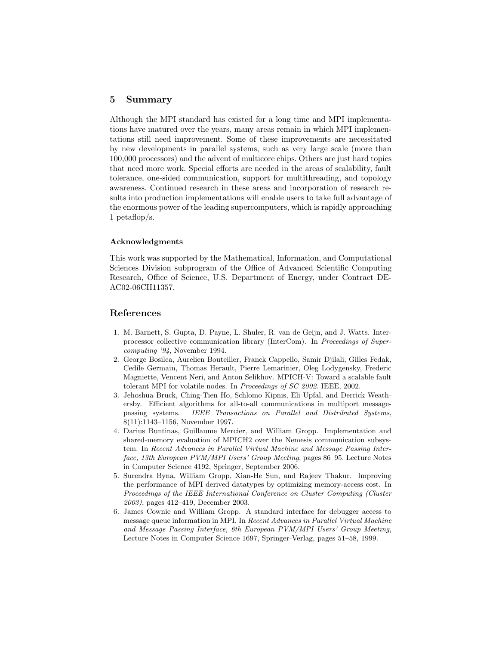# 5 Summary

Although the MPI standard has existed for a long time and MPI implementations have matured over the years, many areas remain in which MPI implementations still need improvement. Some of these improvements are necessitated by new developments in parallel systems, such as very large scale (more than 100,000 processors) and the advent of multicore chips. Others are just hard topics that need more work. Special efforts are needed in the areas of scalability, fault tolerance, one-sided communication, support for multithreading, and topology awareness. Continued research in these areas and incorporation of research results into production implementations will enable users to take full advantage of the enormous power of the leading supercomputers, which is rapidly approaching 1 petaflop/s.

#### Acknowledgments

This work was supported by the Mathematical, Information, and Computational Sciences Division subprogram of the Office of Advanced Scientific Computing Research, Office of Science, U.S. Department of Energy, under Contract DE-AC02-06CH11357.

# References

- 1. M. Barnett, S. Gupta, D. Payne, L. Shuler, R. van de Geijn, and J. Watts. Interprocessor collective communication library (InterCom). In *Proceedings of Supercomputing '94*, November 1994.
- 2. George Bosilca, Aurelien Bouteiller, Franck Cappello, Samir Djilali, Gilles Fedak, Cedile Germain, Thomas Herault, Pierre Lemarinier, Oleg Lodygensky, Frederic Magniette, Vencent Neri, and Anton Selikhov. MPICH-V: Toward a scalable fault tolerant MPI for volatile nodes. In *Proceedings of SC 2002*. IEEE, 2002.
- 3. Jehoshua Bruck, Ching-Tien Ho, Schlomo Kipnis, Eli Upfal, and Derrick Weathersby. Efficient algorithms for all-to-all communications in multiport messagepassing systems. *IEEE Transactions on Parallel and Distributed Systems*, 8(11):1143–1156, November 1997.
- 4. Darius Buntinas, Guillaume Mercier, and William Gropp. Implementation and shared-memory evaluation of MPICH2 over the Nemesis communication subsystem. In *Recent Advances in Parallel Virtual Machine and Message Passing Interface, 13th European PVM/MPI Users' Group Meeting*, pages 86–95. Lecture Notes in Computer Science 4192, Springer, September 2006.
- 5. Surendra Byna, William Gropp, Xian-He Sun, and Rajeev Thakur. Improving the performance of MPI derived datatypes by optimizing memory-access cost. In *Proceedings of the IEEE International Conference on Cluster Computing (Cluster 2003)*, pages 412–419, December 2003.
- 6. James Cownie and William Gropp. A standard interface for debugger access to message queue information in MPI. In *Recent Advances in Parallel Virtual Machine and Message Passing Interface, 6th European PVM/MPI Users' Group Meeting*, Lecture Notes in Computer Science 1697, Springer-Verlag, pages 51–58, 1999.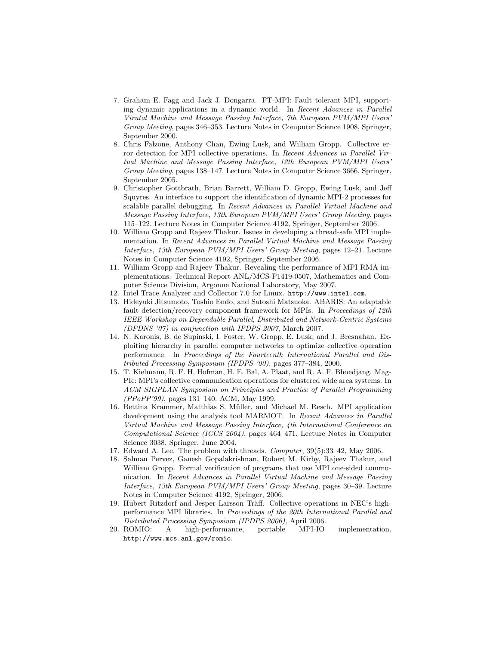- 7. Graham E. Fagg and Jack J. Dongarra. FT-MPI: Fault tolerant MPI, supporting dynamic applications in a dynamic world. In *Recent Advances in Parallel Virutal Machine and Message Passing Interface, 7th European PVM/MPI Users' Group Meeting*, pages 346–353. Lecture Notes in Computer Science 1908, Springer, September 2000.
- 8. Chris Falzone, Anthony Chan, Ewing Lusk, and William Gropp. Collective error detection for MPI collective operations. In *Recent Advances in Parallel Virtual Machine and Message Passing Interface, 12th European PVM/MPI Users' Group Meeting*, pages 138–147. Lecture Notes in Computer Science 3666, Springer, September 2005.
- 9. Christopher Gottbrath, Brian Barrett, William D. Gropp, Ewing Lusk, and Jeff Squyres. An interface to support the identification of dynamic MPI-2 processes for scalable parallel debugging. In *Recent Advances in Parallel Virtual Machine and Message Passing Interface, 13th European PVM/MPI Users' Group Meeting*, pages 115–122. Lecture Notes in Computer Science 4192, Springer, September 2006.
- 10. William Gropp and Rajeev Thakur. Issues in developing a thread-safe MPI implementation. In *Recent Advances in Parallel Virtual Machine and Message Passing Interface, 13th European PVM/MPI Users' Group Meeting*, pages 12–21. Lecture Notes in Computer Science 4192, Springer, September 2006.
- 11. William Gropp and Rajeev Thakur. Revealing the performance of MPI RMA implementations. Technical Report ANL/MCS-P1419-0507, Mathematics and Computer Science Division, Argonne National Laboratory, May 2007.
- 12. Intel Trace Analyzer and Collector 7.0 for Linux. http://www.intel.com.
- 13. Hideyuki Jitsumoto, Toshio Endo, and Satoshi Matsuoka. ABARIS: An adaptable fault detection/recovery component framework for MPIs. In *Proceedings of 12th IEEE Workshop on Dependable Parallel, Distributed and Network-Centric Systems (DPDNS '07) in conjunction with IPDPS 2007*, March 2007.
- 14. N. Karonis, B. de Supinski, I. Foster, W. Gropp, E. Lusk, and J. Bresnahan. Exploiting hierarchy in parallel computer networks to optimize collective operation performance. In *Proceedings of the Fourteenth International Parallel and Distributed Processing Symposium (IPDPS '00)*, pages 377–384, 2000.
- 15. T. Kielmann, R. F. H. Hofman, H. E. Bal, A. Plaat, and R. A. F. Bhoedjang. Mag-PIe: MPI's collective communication operations for clustered wide area systems. In *ACM SIGPLAN Symposium on Principles and Practice of Parallel Programming (PPoPP'99)*, pages 131–140. ACM, May 1999.
- 16. Bettina Krammer, Matthias S. Müller, and Michael M. Resch. MPI application development using the analysis tool MARMOT. In *Recent Advances in Parallel Virtual Machine and Message Passing Interface, 4th International Conference on Computational Science (ICCS 2004)*, pages 464–471. Lecture Notes in Computer Science 3038, Springer, June 2004.
- 17. Edward A. Lee. The problem with threads. *Computer*, 39(5):33–42, May 2006.
- 18. Salman Pervez, Ganesh Gopalakrishnan, Robert M. Kirby, Rajeev Thakur, and William Gropp. Formal verification of programs that use MPI one-sided communication. In *Recent Advances in Parallel Virtual Machine and Message Passing Interface, 13th European PVM/MPI Users' Group Meeting*, pages 30–39. Lecture Notes in Computer Science 4192, Springer, 2006.
- 19. Hubert Ritzdorf and Jesper Larsson Träff. Collective operations in NEC's highperformance MPI libraries. In *Proceedings of the 20th International Parallel and Distributed Processing Symposium (IPDPS 2006)*, April 2006.
- 20. ROMIO: A high-performance, portable MPI-IO implementation. http://www.mcs.anl.gov/romio.